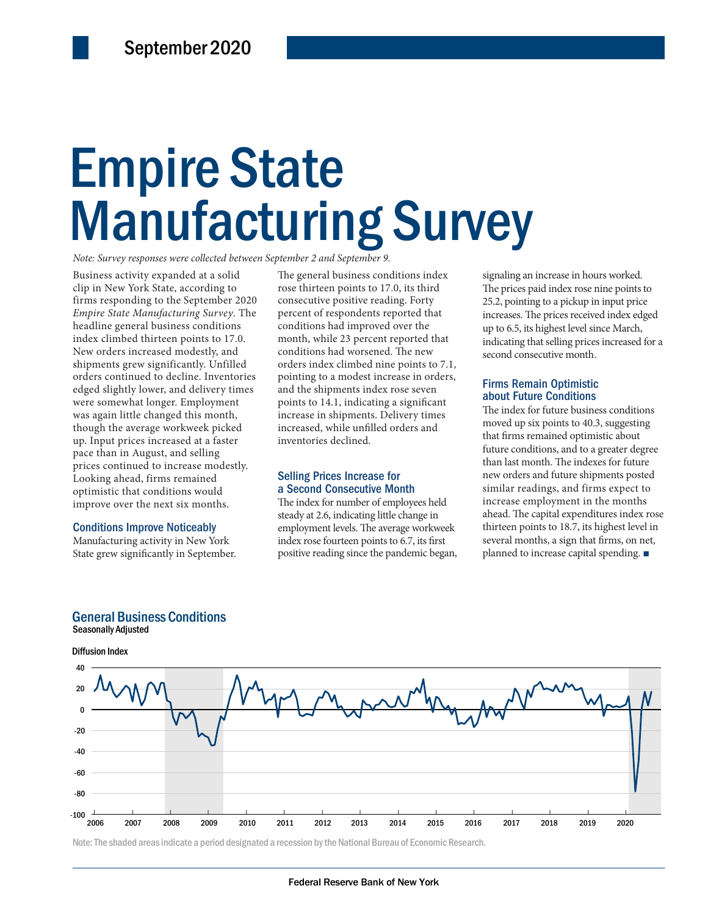# Empire State Empire State Manufacturing Survey Manufacturing Survey

*Note: Survey responses were collected between September 2 and September 9.*

ncreased at a faster inventories declined.<br>
ust, and selling to increase modestly.<br>
times remained<br>
10Selling Prices Increase for the new orders and final method.<br>
10Selling Prices Increase for the similar media of the sim Business activity expanded at a solid clip in New York State, according to firms responding to the September 2020 *Empire State Manufacturing Survey*. The headline general business conditions index climbed thirteen points to 17.0. New orders increased modestly, and shipments grew significantly. Unfilled orders continued to decline. Inventories edged slightly lower, and delivery times were somewhat longer. Employment was again little changed this month, though the average workweek picked up. Input prices increased at a faster pace than in August, and selling prices continued to increase modestly. Looking ahead, firms remained optimistic that conditions would improve over the next six months.

#### Conditions Improve Noticeably

Manufacturing activity in New York State grew significantly in September.

The general business conditions index rose thirteen points to 17.0, its third consecutive positive reading. Forty percent of respondents reported that conditions had improved over the month, while 23 percent reported that conditions had worsened. The new orders index climbed nine points to 7.1, pointing to a modest increase in orders, and the shipments index rose seven points to 14.1, indicating a significant increase in shipments. Delivery times increased, while unfilled orders and inventories declined.

#### Selling Prices Increase for a Second Consecutive Month

The index for number of employees held steady at 2.6, indicating little change in employment levels. The average workweek index rose fourteen points to 6.7, its first positive reading since the pandemic began,

signaling an increase in hours worked. The prices paid index rose nine points to 25.2, pointing to a pickup in input price increases. The prices received index edged up to 6.5, its highest level since March, indicating that selling prices increased for a second consecutive month.

#### Firms Remain Optimistic about Future Conditions

The index for future business conditions moved up six points to 40.3, suggesting that firms remained optimistic about future conditions, and to a greater degree than last month. The indexes for future new orders and future shipments posted similar readings, and firms expect to increase employment in the months ahead. The capital expenditures index rose thirteen points to 18.7, its highest level in several months, a sign that firms, on net, planned to increase capital spending. ■







Note: The shaded areas indicate a period designated a recession by the National Bureau of Economic Research.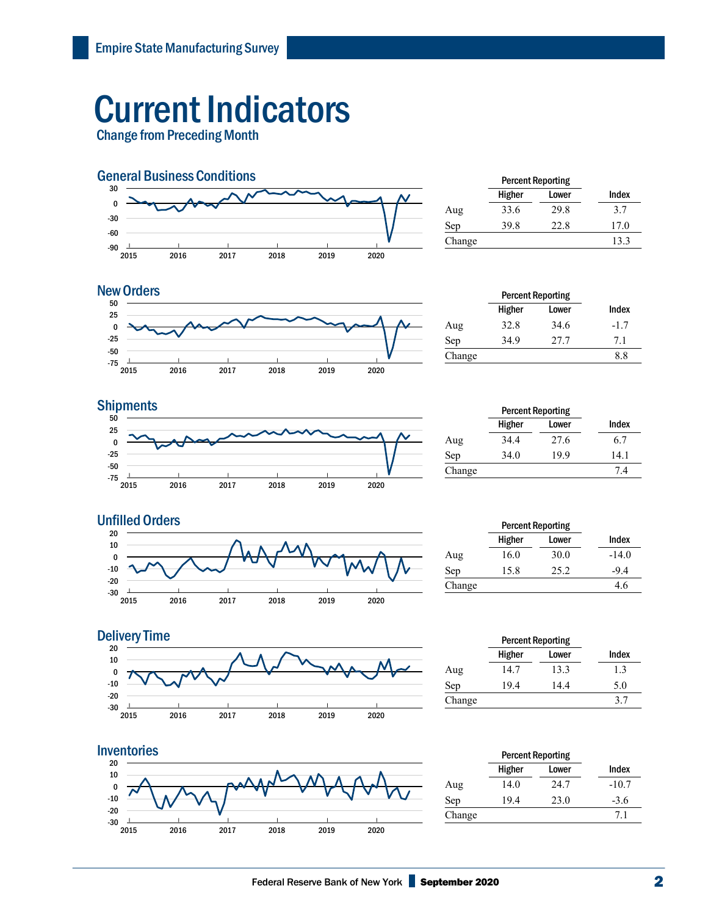## Current Indicators

Change from Preceding Month



|        | <b>Percent Reporting</b> |       |       |  |
|--------|--------------------------|-------|-------|--|
|        | Higher                   | Lower | Index |  |
| Aug    | 33.6                     | 29.8  | 3.7   |  |
| Sep    | 39.8                     | 22.8  | 17.0  |  |
| Change |                          |       | 13.3  |  |
|        |                          |       |       |  |



| <b>New Orders</b> |        |        | <b>Percent Reporting</b> |        |
|-------------------|--------|--------|--------------------------|--------|
| 50<br>25          |        | Higher | Lower                    | Index  |
|                   | Aug    | 32.8   | 34.6                     | $-1.7$ |
| $-25$             | Sep    | 34.9   | 77 T                     | 7. L   |
| -50<br>$-75$      | Change |        |                          | o.c    |

### **Shipments**



|        | <b>Percent Reporting</b> |       |       |
|--------|--------------------------|-------|-------|
|        | Higher                   | Lower | Index |
| Aug    | 34.4                     | 27.6  | 6.7   |
| Sep    | 34.0                     | 19.9  | 14.1  |
| Change |                          |       | 7.4   |



|        | <b>Percent Reporting</b> |       |         |
|--------|--------------------------|-------|---------|
|        | Higher                   | Lower | Index   |
| Aug    | 16.0                     | 30.0  | $-14.0$ |
| Sep    | 15.8                     | 25.2  | $-9.4$  |
| Change |                          |       | 4.6     |



|        | <b>Percent Reporting</b> |       |       |  |
|--------|--------------------------|-------|-------|--|
|        | Higher                   | Lower | Index |  |
| Aug    | 14.7                     | 13.3  | 1.3   |  |
| Sep    | 19.4                     | 14.4  | 5.0   |  |
| Change |                          |       | 37    |  |
|        |                          |       |       |  |



|        | <b>Percent Reporting</b> |       |         |
|--------|--------------------------|-------|---------|
|        | Higher                   | Lower | Index   |
| Aug    | 14.0                     | 24.7  | $-10.7$ |
| Sep    | 19.4                     | 23.0  | $-3.6$  |
| Change |                          |       | 7.1     |
|        |                          |       |         |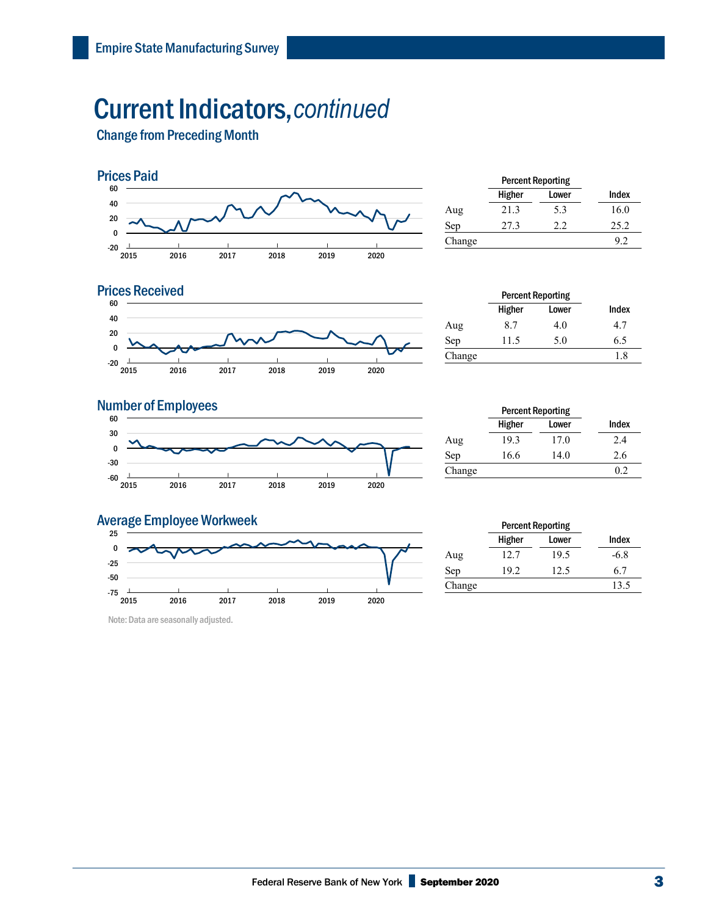## Current Indicators,*continued*

Change from Preceding Month



|        | <b>Percent Reporting</b> |       |       |  |
|--------|--------------------------|-------|-------|--|
|        | Higher                   | Lower | Index |  |
| Aug    | 21.3                     | 5.3   | 16.0  |  |
| Sep    | 27.3                     | 22    | 25.2  |  |
| Change |                          |       | 9.2   |  |
|        |                          |       |       |  |

### **Prices Received**



|        | <b>Percent Reporting</b> |       |       |
|--------|--------------------------|-------|-------|
|        | Higher                   | Lower | Index |
| Aug    | 8.7                      | 4.0   | 4.7   |
| Sep    | 11.5                     | 5.0   | 6.5   |
| Change |                          |       | 1.8   |

#### **Number of Employees**



|        | <b>Percent Reporting</b> |       |       |
|--------|--------------------------|-------|-------|
|        | Higher                   | Lower | Index |
| Aug    | 19.3                     | 17.0  | 2.4   |
| Sep    | 16.6                     | 14.0  | 2.6   |
| Change |                          |       | 0.2   |

### Average Employee Workweek



Note: Data are seasonally adjusted.

|        | <b>Percent Reporting</b> |       |        |
|--------|--------------------------|-------|--------|
|        | Higher                   | Lower | Index  |
| Aug    | 12.7                     | 19.5  | $-6.8$ |
| Sep    | 19.2                     | 12.5  | 6.7    |
| Change |                          |       | 13.5   |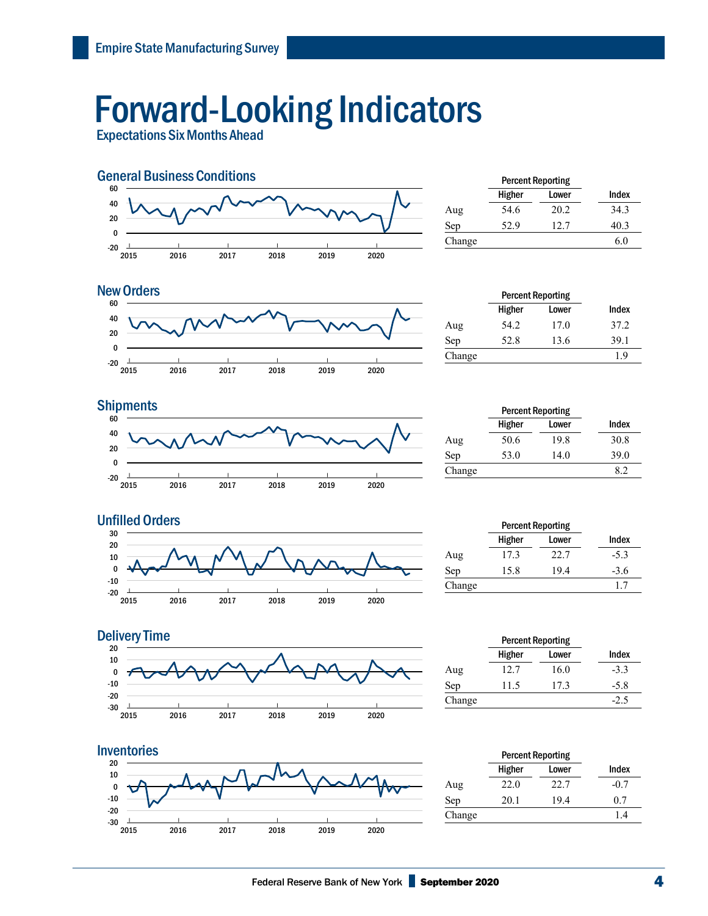## Forward-Looking Indicators

Expectations Six Months Ahead



|        | <b>Percent Reporting</b> |       |       |  |
|--------|--------------------------|-------|-------|--|
|        | Higher                   | Lower | Index |  |
| Aug    | 54.6                     | 20.2  | 34.3  |  |
| Sep    | 52.9                     | 12.7  | 40.3  |  |
| Change |                          |       | 6.0   |  |
|        |                          |       |       |  |



| <b>New Orders</b> |        |        | <b>Percent Reporting</b> |       |
|-------------------|--------|--------|--------------------------|-------|
| 60                |        | Higher | Lower                    | Index |
| 40                | Aug    | 54.2   | 17.0                     | 37.2  |
| 20                | Sep    | 52.8   | 13.6                     | 39.1  |
| -20               | Change |        |                          | 1.9   |







|        | <b>Percent Reporting</b> |       |        |
|--------|--------------------------|-------|--------|
|        | Higher                   | Lower | Index  |
| Aug    | 17.3                     | 22.7  | $-5.3$ |
| Sep    | 15.8                     | 19.4  | $-3.6$ |
| Change |                          |       |        |



|        | <b>Percent Reporting</b> |       |        |  |
|--------|--------------------------|-------|--------|--|
|        | Higher                   | Lower | Index  |  |
| Aug    | 12.7                     | 16.0  | $-3.3$ |  |
| Sep    | 11.5                     | 17.3  | $-5.8$ |  |
| Change |                          |       | $-2.5$ |  |
|        |                          |       |        |  |



|        | <b>Percent Reporting</b> |       |        |
|--------|--------------------------|-------|--------|
|        | Higher                   | Lower | Index  |
| Aug    | 22.0                     | 22.7  | $-0.7$ |
| Sep    | 20.1                     | 19.4  | 0.7    |
| Change |                          |       | 1.4    |
|        |                          |       |        |